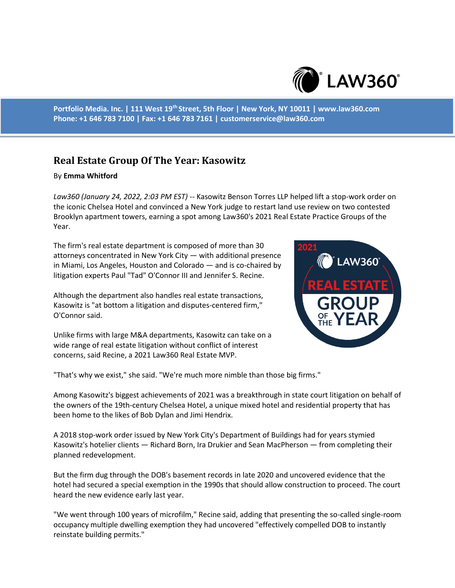

**Portfolio Media. Inc. | 111 West 19th Street, 5th Floor | New York, NY 10011 | www.law360.com Phone: +1 646 783 7100 | Fax: +1 646 783 7161 | customerservice@law360.com**

## **Real Estate Group Of The Year: Kasowitz**

## By **Emma Whitford**

*Law360 (January 24, 2022, 2:03 PM EST)* -- Kasowitz Benson Torres LLP helped lift a stop-work order on the iconic Chelsea Hotel and convinced a New York judge to restart land use review on two contested Brooklyn apartment towers, earning a spot among Law360's 2021 Real Estate Practice Groups of the Year.

The firm's real estate department is composed of more than 30 attorneys concentrated in New York City — with additional presence in Miami, Los Angeles, Houston and Colorado — and is co-chaired by litigation experts Paul "Tad" O'Connor III and Jennifer S. Recine.

Although the department also handles real estate transactions, Kasowitz is "at bottom a litigation and disputes-centered firm," O'Connor said.

Unlike firms with large M&A departments, Kasowitz can take on a wide range of real estate litigation without conflict of interest concerns, said Recine, a 2021 Law360 Real Estate MVP.



"That's why we exist," she said. "We're much more nimble than those big firms."

Among Kasowitz's biggest achievements of 2021 was a breakthrough in state court litigation on behalf of the owners of the 19th-century Chelsea Hotel, a unique mixed hotel and residential property that has been home to the likes of Bob Dylan and Jimi Hendrix.

A 2018 stop-work order issued by New York City's Department of Buildings had for years stymied Kasowitz's hotelier clients — Richard Born, Ira Drukier and Sean MacPherson — from completing their planned redevelopment.

But the firm dug through the DOB's basement records in late 2020 and uncovered evidence that the hotel had secured a special exemption in the 1990s that should allow construction to proceed. The court heard the new evidence early last year.

"We went through 100 years of microfilm," Recine said, adding that presenting the so-called single-room occupancy multiple dwelling exemption they had uncovered "effectively compelled DOB to instantly reinstate building permits."